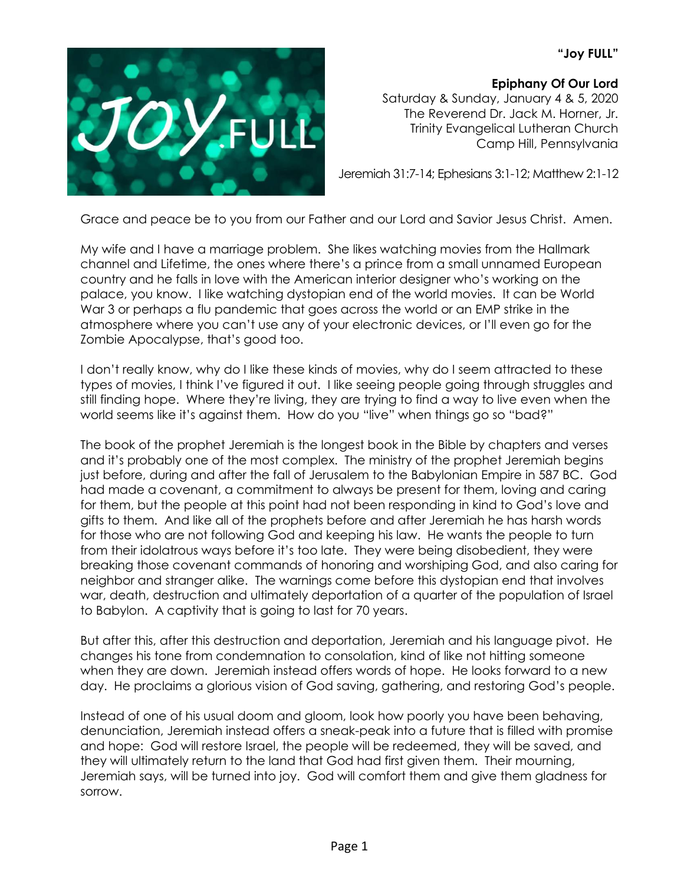**"Joy FULL"**



**Epiphany Of Our Lord**

Saturday & Sunday, January 4 & 5, 2020 The Reverend Dr. Jack M. Horner, Jr. Trinity Evangelical Lutheran Church Camp Hill, Pennsylvania

Jeremiah 31:7-14; Ephesians 3:1-12; Matthew 2:1-12

Grace and peace be to you from our Father and our Lord and Savior Jesus Christ. Amen.

My wife and I have a marriage problem. She likes watching movies from the Hallmark channel and Lifetime, the ones where there's a prince from a small unnamed European country and he falls in love with the American interior designer who's working on the palace, you know. I like watching dystopian end of the world movies. It can be World War 3 or perhaps a flu pandemic that goes across the world or an EMP strike in the atmosphere where you can't use any of your electronic devices, or I'll even go for the Zombie Apocalypse, that's good too.

I don't really know, why do I like these kinds of movies, why do I seem attracted to these types of movies, I think I've figured it out. I like seeing people going through struggles and still finding hope. Where they're living, they are trying to find a way to live even when the world seems like it's against them. How do you "live" when things go so "bad?"

The book of the prophet Jeremiah is the longest book in the Bible by chapters and verses and it's probably one of the most complex. The ministry of the prophet Jeremiah begins just before, during and after the fall of Jerusalem to the Babylonian Empire in 587 BC. God had made a covenant, a commitment to always be present for them, loving and caring for them, but the people at this point had not been responding in kind to God's love and gifts to them. And like all of the prophets before and after Jeremiah he has harsh words for those who are not following God and keeping his law. He wants the people to turn from their idolatrous ways before it's too late. They were being disobedient, they were breaking those covenant commands of honoring and worshiping God, and also caring for neighbor and stranger alike. The warnings come before this dystopian end that involves war, death, destruction and ultimately deportation of a quarter of the population of Israel to Babylon. A captivity that is going to last for 70 years.

But after this, after this destruction and deportation, Jeremiah and his language pivot. He changes his tone from condemnation to consolation, kind of like not hitting someone when they are down. Jeremiah instead offers words of hope. He looks forward to a new day. He proclaims a glorious vision of God saving, gathering, and restoring God's people.

Instead of one of his usual doom and gloom, look how poorly you have been behaving, denunciation, Jeremiah instead offers a sneak-peak into a future that is filled with promise and hope: God will restore Israel, the people will be redeemed, they will be saved, and they will ultimately return to the land that God had first given them. Their mourning, Jeremiah says, will be turned into joy. God will comfort them and give them gladness for sorrow.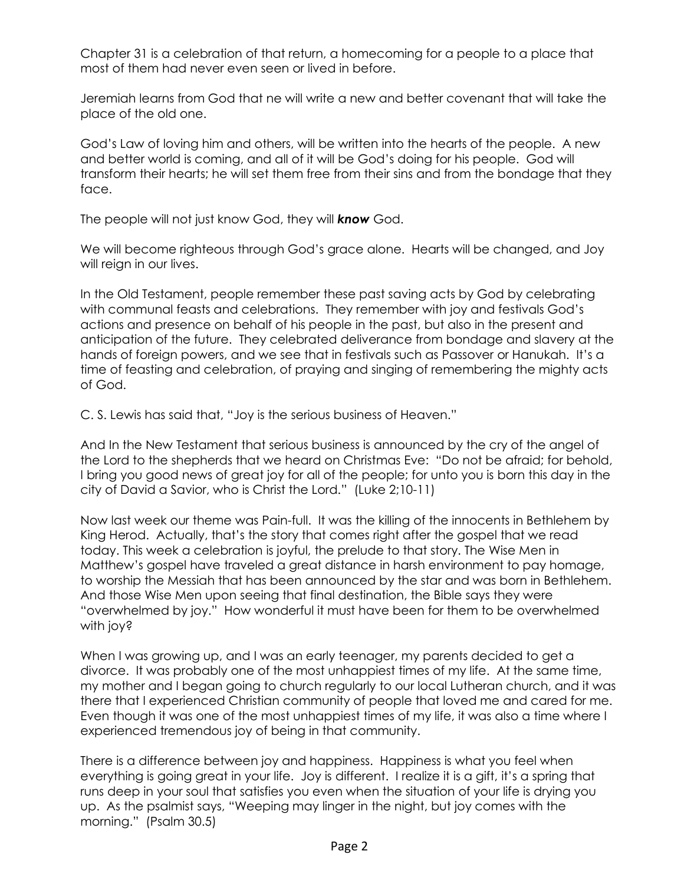Chapter 31 is a celebration of that return, a homecoming for a people to a place that most of them had never even seen or lived in before.

Jeremiah learns from God that ne will write a new and better covenant that will take the place of the old one.

God's Law of loving him and others, will be written into the hearts of the people. A new and better world is coming, and all of it will be God's doing for his people. God will transform their hearts; he will set them free from their sins and from the bondage that they face.

The people will not just know God, they will *know* God.

We will become righteous through God's grace alone. Hearts will be changed, and Joy will reign in our lives.

In the Old Testament, people remember these past saving acts by God by celebrating with communal feasts and celebrations. They remember with joy and festivals God's actions and presence on behalf of his people in the past, but also in the present and anticipation of the future. They celebrated deliverance from bondage and slavery at the hands of foreign powers, and we see that in festivals such as Passover or Hanukah. It's a time of feasting and celebration, of praying and singing of remembering the mighty acts of God.

C. S. Lewis has said that, "Joy is the serious business of Heaven."

And In the New Testament that serious business is announced by the cry of the angel of the Lord to the shepherds that we heard on Christmas Eve: "Do not be afraid; for behold, I bring you good news of great joy for all of the people; for unto you is born this day in the city of David a Savior, who is Christ the Lord." (Luke 2;10-11)

Now last week our theme was Pain-full. It was the killing of the innocents in Bethlehem by King Herod. Actually, that's the story that comes right after the gospel that we read today. This week a celebration is joyful, the prelude to that story. The Wise Men in Matthew's gospel have traveled a great distance in harsh environment to pay homage, to worship the Messiah that has been announced by the star and was born in Bethlehem. And those Wise Men upon seeing that final destination, the Bible says they were "overwhelmed by joy." How wonderful it must have been for them to be overwhelmed with joy?

When I was growing up, and I was an early teenager, my parents decided to get a divorce. It was probably one of the most unhappiest times of my life. At the same time, my mother and I began going to church regularly to our local Lutheran church, and it was there that I experienced Christian community of people that loved me and cared for me. Even though it was one of the most unhappiest times of my life, it was also a time where I experienced tremendous joy of being in that community.

There is a difference between joy and happiness. Happiness is what you feel when everything is going great in your life. Joy is different. I realize it is a gift, it's a spring that runs deep in your soul that satisfies you even when the situation of your life is drying you up. As the psalmist says, "Weeping may linger in the night, but joy comes with the morning." (Psalm 30.5)